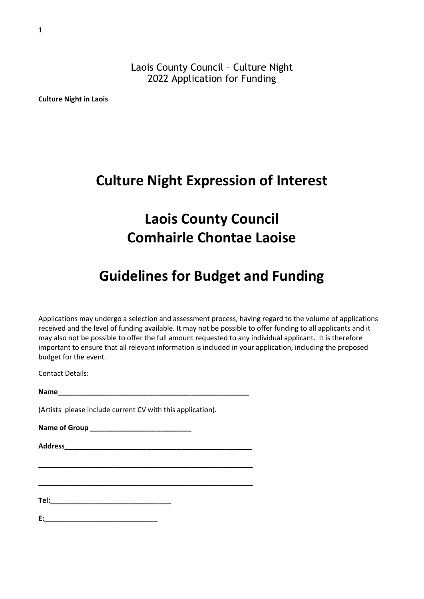Laois County Council – Culture Night 2022 Application for Funding

**Culture Night in Laois**

## **Culture Night Expression of Interest**

# **Laois County Council Comhairle Chontae Laoise**

# **Guidelines for Budget and Funding**

Applications may undergo a selection and assessment process, having regard to the volume of applications received and the level of funding available. It may not be possible to offer funding to all applicants and it may also not be possible to offer the full amount requested to any individual applicant. It is therefore important to ensure that all relevant information is included in your application, including the proposed budget for the event.

Contact Details:

**Name\_\_\_\_\_\_\_\_\_\_\_\_\_\_\_\_\_\_\_\_\_\_\_\_\_\_\_\_\_\_\_\_\_\_\_\_\_\_\_\_\_\_\_\_\_\_\_\_\_**

**\_\_\_\_\_\_\_\_\_\_\_\_\_\_\_\_\_\_\_\_\_\_\_\_\_\_\_\_\_\_\_\_\_\_\_\_\_\_\_\_\_\_\_\_\_\_\_\_\_\_\_\_\_\_\_**

**\_\_\_\_\_\_\_\_\_\_\_\_\_\_\_\_\_\_\_\_\_\_\_\_\_\_\_\_\_\_\_\_\_\_\_\_\_\_\_\_\_\_\_\_\_\_\_\_\_\_\_\_\_\_\_**

(Artists please include current CV with this application).

**Name of Group \_\_\_\_\_\_\_\_\_\_\_\_\_\_\_\_\_\_\_\_\_\_\_\_\_\_**

**Address\_\_\_\_\_\_\_\_\_\_\_\_\_\_\_\_\_\_\_\_\_\_\_\_\_\_\_\_\_\_\_\_\_\_\_\_\_\_\_\_\_\_\_\_\_\_\_\_**

**Tel:\_\_\_\_\_\_\_\_\_\_\_\_\_\_\_\_\_\_\_\_\_\_\_\_\_\_\_\_\_\_\_**

**E:\_\_\_\_\_\_\_\_\_\_\_\_\_\_\_\_\_\_\_\_\_\_\_\_\_\_\_\_\_**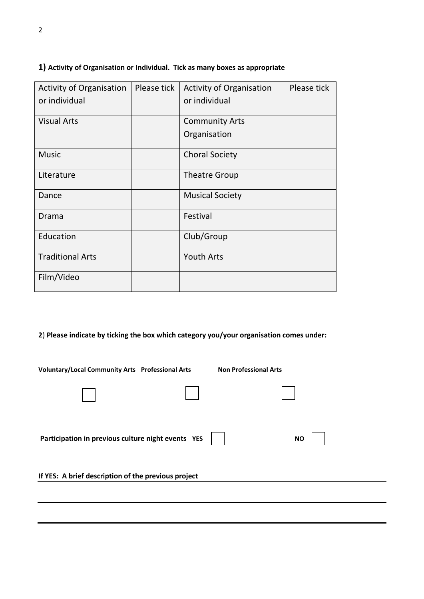| <b>Activity of Organisation</b><br>or individual | Please tick | <b>Activity of Organisation</b><br>or individual | Please tick |
|--------------------------------------------------|-------------|--------------------------------------------------|-------------|
| <b>Visual Arts</b>                               |             | <b>Community Arts</b><br>Organisation            |             |
| <b>Music</b>                                     |             | <b>Choral Society</b>                            |             |
| Literature                                       |             | <b>Theatre Group</b>                             |             |
| Dance                                            |             | <b>Musical Society</b>                           |             |
| Drama                                            |             | Festival                                         |             |
| Education                                        |             | Club/Group                                       |             |
| <b>Traditional Arts</b>                          |             | <b>Youth Arts</b>                                |             |
| Film/Video                                       |             |                                                  |             |

#### **1) Activity of Organisation or Individual. Tick as many boxes as appropriate**

**2**) **Please indicate by ticking the box which category you/your organisation comes under:**

**Voluntary/Local Community Arts Professional Arts Non Professional Arts** 

| Participation in previous culture night events YES  | <b>NO</b> |  |
|-----------------------------------------------------|-----------|--|
| If YES: A brief description of the previous project |           |  |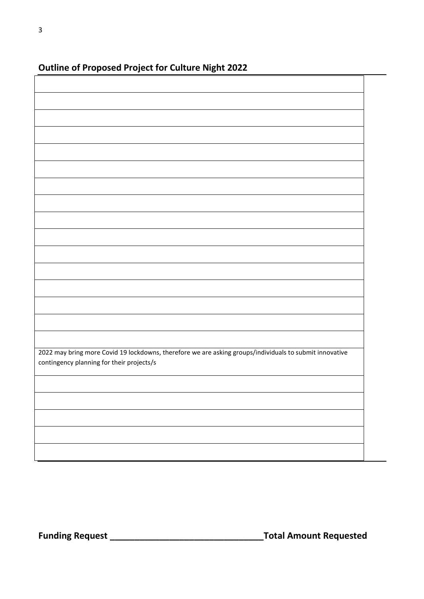| - -<br>$\cdot$ $\cdot$ $\circ$                                                                          |  |
|---------------------------------------------------------------------------------------------------------|--|
|                                                                                                         |  |
|                                                                                                         |  |
|                                                                                                         |  |
|                                                                                                         |  |
|                                                                                                         |  |
|                                                                                                         |  |
|                                                                                                         |  |
|                                                                                                         |  |
|                                                                                                         |  |
|                                                                                                         |  |
|                                                                                                         |  |
|                                                                                                         |  |
|                                                                                                         |  |
|                                                                                                         |  |
|                                                                                                         |  |
|                                                                                                         |  |
|                                                                                                         |  |
|                                                                                                         |  |
|                                                                                                         |  |
|                                                                                                         |  |
|                                                                                                         |  |
|                                                                                                         |  |
|                                                                                                         |  |
|                                                                                                         |  |
|                                                                                                         |  |
|                                                                                                         |  |
|                                                                                                         |  |
|                                                                                                         |  |
|                                                                                                         |  |
|                                                                                                         |  |
|                                                                                                         |  |
|                                                                                                         |  |
|                                                                                                         |  |
|                                                                                                         |  |
|                                                                                                         |  |
|                                                                                                         |  |
|                                                                                                         |  |
|                                                                                                         |  |
|                                                                                                         |  |
|                                                                                                         |  |
|                                                                                                         |  |
|                                                                                                         |  |
|                                                                                                         |  |
|                                                                                                         |  |
|                                                                                                         |  |
|                                                                                                         |  |
| 2022 may bring more Covid 19 lockdowns, therefore we are asking groups/individuals to submit innovative |  |
|                                                                                                         |  |
| contingency planning for their projects/s                                                               |  |
|                                                                                                         |  |
|                                                                                                         |  |
|                                                                                                         |  |
|                                                                                                         |  |
|                                                                                                         |  |
|                                                                                                         |  |
|                                                                                                         |  |
|                                                                                                         |  |
|                                                                                                         |  |
|                                                                                                         |  |
|                                                                                                         |  |
|                                                                                                         |  |
|                                                                                                         |  |
|                                                                                                         |  |
|                                                                                                         |  |
|                                                                                                         |  |
|                                                                                                         |  |

### **Outline of Proposed Project for Culture Night 2022**